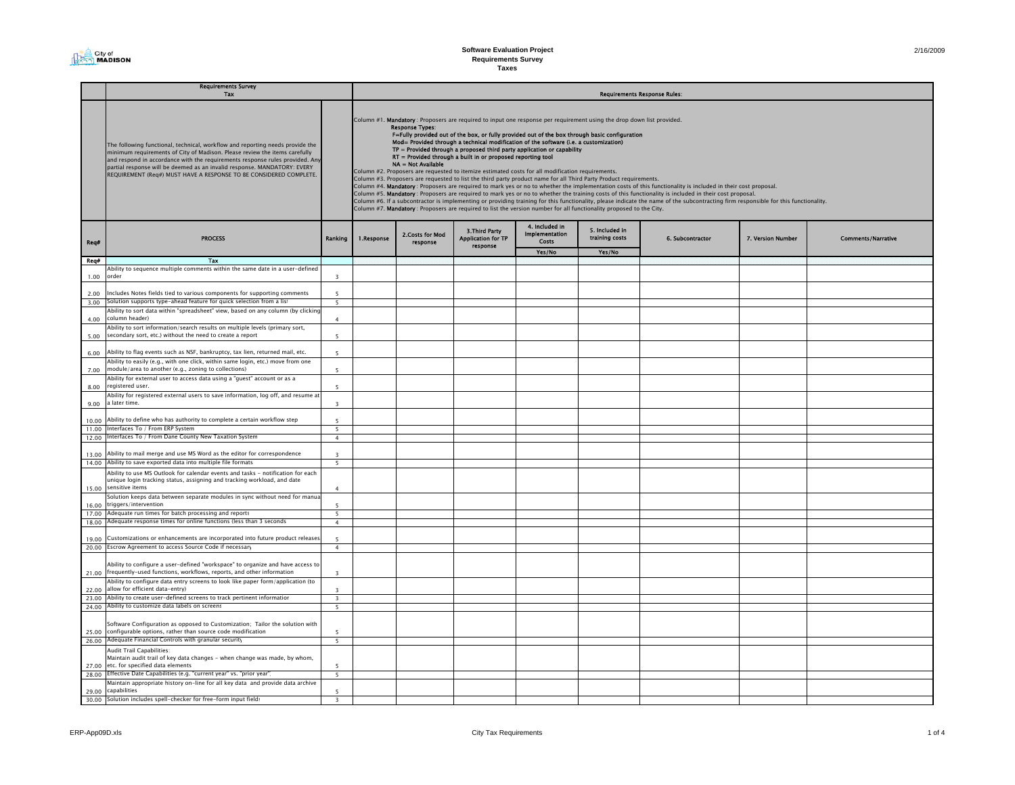#### 2/16/2009

#### Req# Yes/No Yes/No Req# Tax 1.00 Ability to sequence multiple comments within the same date in a user-defined rder 32.00Includes Notes fields tied to various components for supporting comments 5 3.00 $S$  blution supports type-ahead feature for quick selection from a list  $\overline{5}$ 4.00Ability to sort data within "spreadsheet" view, based on any column (by clicking column header) and the column state of the column state of the column state of the column state of the column state of the column state of the column state of the column state of the column state of the column state of the 5.00Ability to sort information/search results on multiple levels (primary sort, secondary sort, etc.) without the need to create a report  $\sim$  5 6.00Ability to flag events such as NSF, bankruptcy, tax lien, returned mail, etc. 7.00Ability to easily (e.g., with one click, within same login, etc.) move from one module/area to another (e.g., zoning to collections) 58.00Ability for external user to access data using a "guest" account or as a registered user. 59.00Ability for registered external users to save information, log off, and resume at a later time. 310.00Ability to define who has authority to complete a certain workflow step 5 11.00Interfaces To / From ERP System 5 12.00 Interfaces To / From Dane County New Taxation System <sup>4</sup> 13.00Ability to mail merge and use MS Word as the editor for correspondence 3 14.00 Ability to save exported data into multiple file formats 5 5 15.00Ability to use MS Outlook for calendar events and tasks - notification for each nique login tracking status, assigning and tracking workload, and date sensitive items $\sim$  4 16.0017.00 Adequate run times for batch processing and reports 5 Solution keeps data between separate modules in sync without need for manu triggers/intervention 5  $\overline{\phantom{a}}$  $\overline{4}$ 18.00dequate response times for online functions (less than 3 seconds 19.00 $s$ tomizations or enhancements are incorporated into future product releases. 20.00 Escrow Agreement to access Source Code if necessary <sup>4</sup>21.00Ability to configure a user-defined "workspace" to organize and have access to frequently-used functions, workflows, reports, and other information 322.0023.00 Ability to create user-defined screens to track pertinent informatior 3 Ability to configure data entry screens to look like paper form/application (to  $allow$  for efficient data-entry)  $\frac{3}{3}$  $\overline{\mathbf{3}}$ 24.00Ability to customize data labels on screens 5 25.00 configurable options, rather than source code modification  $5\,$ 26.00 Adequate Financial Controls with granular security 5 oftware Configuration as opposed to Customization; Tailor the solution with j  $27.00$  etc. for specified data elements  $5$ 28.00 Effective Date Capabilities (e.g. "current year" vs. "prior year" | 5 Audit Trail Capabilities: Maintain audit trail of key data changes - when change was made, by whom,  $\overline{\phantom{0}}$ 29.00 30.00Maintain appropriate history on-line for all key data and provide data archive capabilities 5 Solution includes spell-checker for free-form input fields 3 3 Requirements Survey Tax Requirements Response Rules: The following functional, technical, workflow and reporting needs provide the minimum requirements of City of Madison. Please review the items carefully and respond in accordance with the requirements response rules provided. An partial response will be deemed as an invalid response. MANDATORY: EVERY REQUIREMENT (Req#) MUST HAVE A RESPONSE TO BE CONSIDERED COMPLETE. 6. Subcontractor 7. Version Number Comments/Narrative 4. Included in Implementation Costs Column #1. Mandatory: Proposers are required to input one response per requirement using the drop down list provided.<br>
Response Types:<br>
F=Fully provided out of the box, or fully provided out of the box through basic confi NA = Not Available Column #2. Proposers are requested to itemize estimated costs for all modification requirements. Column #3. Proposers are requested to list the third party product name for all Third Party Product requirements. Column #4. **Mandatory** : Proposers are required to mark yes or no to whether the implementation costs of this functionality is included in their cost proposal.<br>Column #5**. Mandatory** : Proposers are required to mark yes o Column #7. Mandatory : Proposers are required to list the version number for all functionality proposed to the City. PROCESS Ranking 1.Response 2.Costs for Mod 3.Third Party Implementation 5. Included in the S. Included in the S. Included in the S. Included in the S. Included in the S. Included in the S. Included in the S. Included in th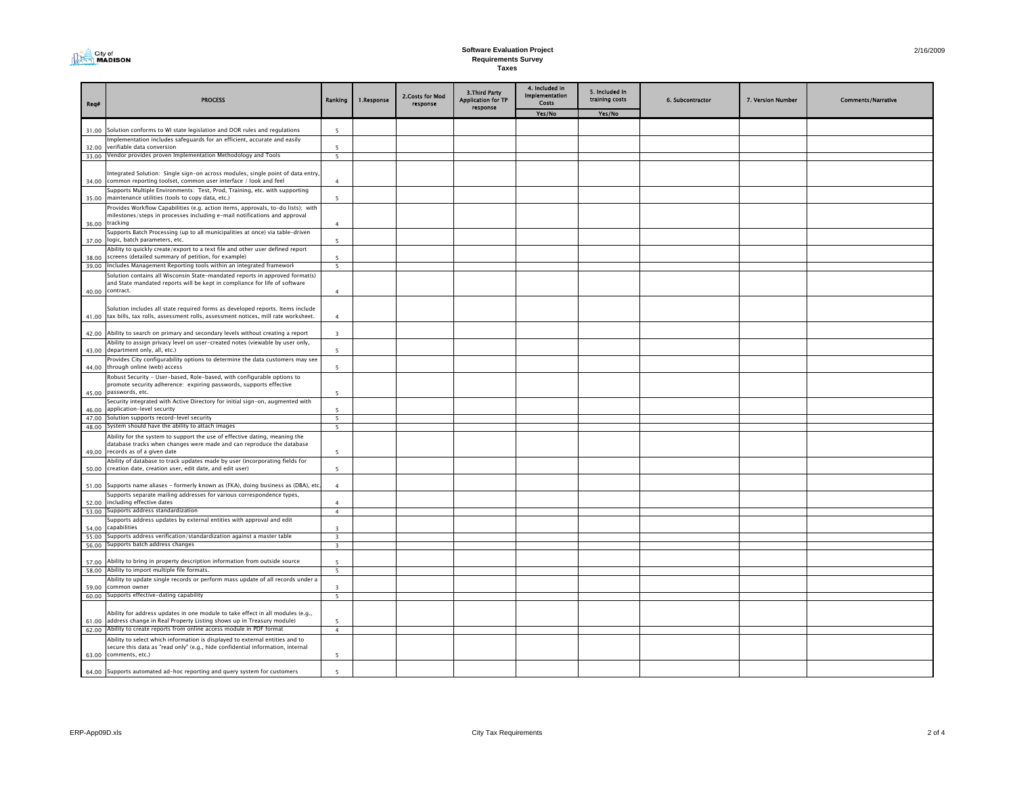

## **Software Evaluation Project Requirements Survey Taxes**

|  | 2/16/2009 |
|--|-----------|

|                |                                                                                                                                                                                   |                          |            |                              |                                             | 4. Included in                 |                                  |                  |                   |                           |
|----------------|-----------------------------------------------------------------------------------------------------------------------------------------------------------------------------------|--------------------------|------------|------------------------------|---------------------------------------------|--------------------------------|----------------------------------|------------------|-------------------|---------------------------|
| Req#           | <b>PROCESS</b>                                                                                                                                                                    | Ranking                  | 1.Response | 2. Costs for Mod<br>response | 3. Third Party<br><b>Application for TP</b> | <b>Implementation</b><br>Costs | 5. Included in<br>training costs | 6. Subcontractor | 7. Version Number | <b>Comments/Narrative</b> |
|                |                                                                                                                                                                                   |                          |            |                              | response                                    | Yes/No                         | Yes/No                           |                  |                   |                           |
| 31.00          | Solution conforms to WI state legislation and DOR rules and regulations                                                                                                           | -5                       |            |                              |                                             |                                |                                  |                  |                   |                           |
|                | mplementation includes safeguards for an efficient, accurate and easily                                                                                                           |                          |            |                              |                                             |                                |                                  |                  |                   |                           |
| 32.00          | verifiable data conversion                                                                                                                                                        | -5                       |            |                              |                                             |                                |                                  |                  |                   |                           |
|                | 33.00 Vendor provides proven Implementation Methodology and Tools                                                                                                                 | $\overline{5}$           |            |                              |                                             |                                |                                  |                  |                   |                           |
| 34.00          | Integrated Solution: Single sign-on across modules, single point of data entry<br>common reporting toolset, common user interface / look and feel                                 | $\overline{4}$           |            |                              |                                             |                                |                                  |                  |                   |                           |
| 35.00          | Supports Multiple Environments: Test, Prod, Training, etc. with supporting<br>maintenance utilities (tools to copy data, etc.)                                                    | $\overline{\phantom{a}}$ |            |                              |                                             |                                |                                  |                  |                   |                           |
|                | Provides Workflow Capabilities (e.g. action items, approvals, to-do lists); with<br>milestones/steps in processes including e-mail notifications and approval<br>36.00 tracking   | $\overline{4}$           |            |                              |                                             |                                |                                  |                  |                   |                           |
| 37.00          | Supports Batch Processing (up to all municipalities at once) via table-driven<br>logic, batch parameters, etc.                                                                    | 5                        |            |                              |                                             |                                |                                  |                  |                   |                           |
|                | Ability to quickly create/export to a text file and other user defined report                                                                                                     |                          |            |                              |                                             |                                |                                  |                  |                   |                           |
| 38.00<br>39.00 | screens (detailed summary of petition, for example)<br>Includes Management Reporting tools within an integrated frameworl                                                         | 5                        |            |                              |                                             |                                |                                  |                  |                   |                           |
|                | Solution contains all Wisconsin State-mandated reports in approved format(s)                                                                                                      | 5                        |            |                              |                                             |                                |                                  |                  |                   |                           |
| 40.00          | and State mandated reports will be kept in compliance for life of software<br>contract.                                                                                           | $\overline{4}$           |            |                              |                                             |                                |                                  |                  |                   |                           |
|                |                                                                                                                                                                                   |                          |            |                              |                                             |                                |                                  |                  |                   |                           |
| 41.00          | Solution includes all state required forms as developed reports. Items include<br>tax bills, tax rolls, assessment rolls, assessment notices, mill rate worksheet.                | $\overline{4}$           |            |                              |                                             |                                |                                  |                  |                   |                           |
| 42.00          | Ability to search on primary and secondary levels without creating a report                                                                                                       | $\mathbf{3}$             |            |                              |                                             |                                |                                  |                  |                   |                           |
| 43.00          | Ability to assign privacy level on user-created notes (viewable by user only,<br>department only, all, etc.)                                                                      | $\overline{\phantom{a}}$ |            |                              |                                             |                                |                                  |                  |                   |                           |
| 44.00          | Provides City configurability options to determine the data customers may see<br>through online (web) access                                                                      | -5                       |            |                              |                                             |                                |                                  |                  |                   |                           |
|                | Robust Security - User-based, Role-based, with configurable options to                                                                                                            |                          |            |                              |                                             |                                |                                  |                  |                   |                           |
|                | promote security adherence: expiring passwords, supports effective<br>45.00 passwords, etc.<br>Security integrated with Active Directory for initial sign-on, augmented with      | 5                        |            |                              |                                             |                                |                                  |                  |                   |                           |
| 46.00          | application-level security                                                                                                                                                        | 5                        |            |                              |                                             |                                |                                  |                  |                   |                           |
|                | 47.00 Solution supports record-level security                                                                                                                                     | - 5                      |            |                              |                                             |                                |                                  |                  |                   |                           |
|                | 48.00 System should have the ability to attach images                                                                                                                             | 5                        |            |                              |                                             |                                |                                  |                  |                   |                           |
| 49.00          | Ability for the system to support the use of effective dating, meaning the<br>database tracks when changes were made and can reproduce the database<br>records as of a given date | 5                        |            |                              |                                             |                                |                                  |                  |                   |                           |
| 50.00          | Ability of database to track updates made by user (incorporating fields for<br>creation date, creation user, edit date, and edit user)                                            | $\overline{\phantom{a}}$ |            |                              |                                             |                                |                                  |                  |                   |                           |
|                | Supports name aliases - formerly known as (FKA), doing business as (DBA), etc                                                                                                     |                          |            |                              |                                             |                                |                                  |                  |                   |                           |
| 51.00          | Supports separate mailing addresses for various correspondence types,                                                                                                             | $\overline{4}$           |            |                              |                                             |                                |                                  |                  |                   |                           |
| 52.00          | including effective dates                                                                                                                                                         | $\Lambda$                |            |                              |                                             |                                |                                  |                  |                   |                           |
| 53.00          | Supports address standardization                                                                                                                                                  | $\overline{4}$           |            |                              |                                             |                                |                                  |                  |                   |                           |
| 54.00          | Supports address updates by external entities with approval and edit<br>capabilities                                                                                              | 3                        |            |                              |                                             |                                |                                  |                  |                   |                           |
| 55.00          | Supports address verification/standardization against a master table                                                                                                              | $\overline{\mathbf{3}}$  |            |                              |                                             |                                |                                  |                  |                   |                           |
| 56.00          | Supports batch address changes                                                                                                                                                    | $\overline{\mathbf{3}}$  |            |                              |                                             |                                |                                  |                  |                   |                           |
| 57.00          | Ability to bring in property description information from outside source                                                                                                          | -5                       |            |                              |                                             |                                |                                  |                  |                   |                           |
|                | 58.00 Ability to import multiple file formats.                                                                                                                                    | - 5                      |            |                              |                                             |                                |                                  |                  |                   |                           |
|                | Ability to update single records or perform mass update of all records under a<br>common owner                                                                                    | $\overline{3}$           |            |                              |                                             |                                |                                  |                  |                   |                           |
| 59.00          | 60.00 Supports effective-dating capability                                                                                                                                        | $\overline{\phantom{0}}$ |            |                              |                                             |                                |                                  |                  |                   |                           |
|                |                                                                                                                                                                                   |                          |            |                              |                                             |                                |                                  |                  |                   |                           |
|                | Ability for address updates in one module to take effect in all modules (e.g.,                                                                                                    |                          |            |                              |                                             |                                |                                  |                  |                   |                           |
| 61.00          | address change in Real Property Listing shows up in Treasury module)<br>62.00 Ability to create reports from online access module in PDF format                                   | 5<br>$\overline{4}$      |            |                              |                                             |                                |                                  |                  |                   |                           |
|                | Ability to select which information is displayed to external entities and to                                                                                                      |                          |            |                              |                                             |                                |                                  |                  |                   |                           |
|                | secure this data as "read only" (e.g., hide confidential information, internal<br>63.00 comments, etc.)                                                                           | 5                        |            |                              |                                             |                                |                                  |                  |                   |                           |
|                | 64.00 Supports automated ad-hoc reporting and query system for customers                                                                                                          | $\overline{\phantom{a}}$ |            |                              |                                             |                                |                                  |                  |                   |                           |
|                |                                                                                                                                                                                   |                          |            |                              |                                             |                                |                                  |                  |                   |                           |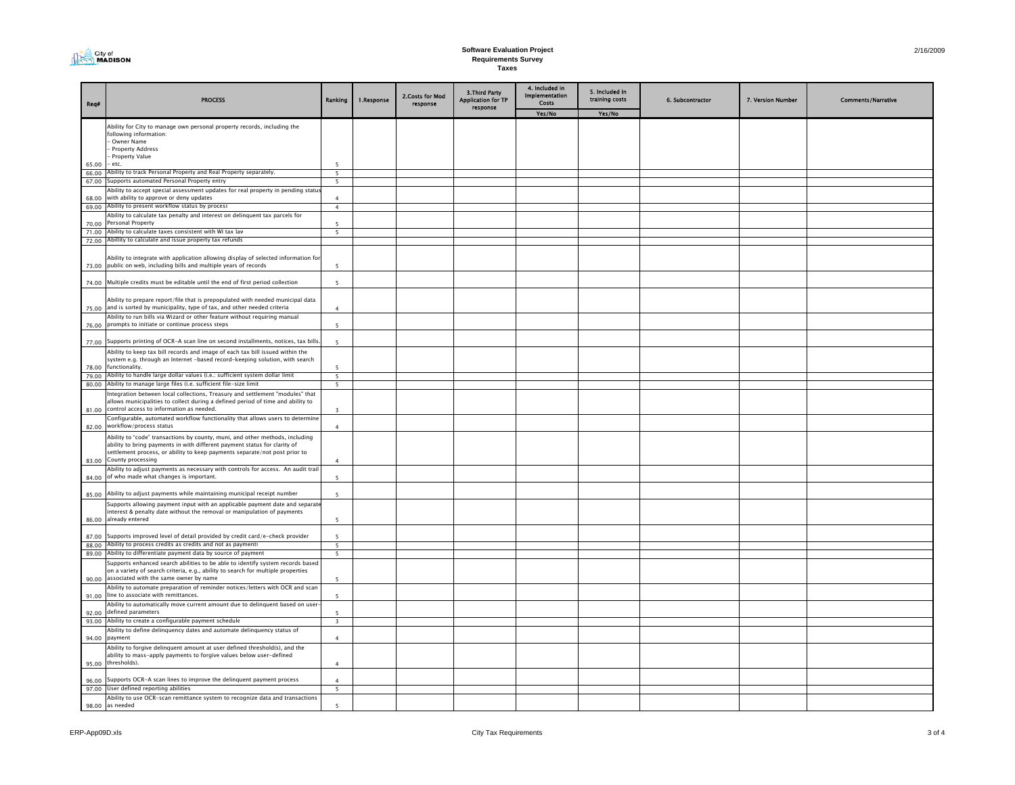# **Software Evaluation Project Requirements Survey Taxes**

and the contract of the contract of

| Req#           | <b>PROCESS</b>                                                                                                                                                                                                                                               | Ranking                                              | 1.Response | 2.Costs for Mod<br>response | 3. Third Party<br><b>Application for TP</b><br>response | 4. Included in<br>Implementation<br>Costs | 5. Included in<br>training costs | 6. Subcontractor | 7. Version Number | <b>Comments/Narrative</b> |
|----------------|--------------------------------------------------------------------------------------------------------------------------------------------------------------------------------------------------------------------------------------------------------------|------------------------------------------------------|------------|-----------------------------|---------------------------------------------------------|-------------------------------------------|----------------------------------|------------------|-------------------|---------------------------|
|                |                                                                                                                                                                                                                                                              |                                                      |            |                             |                                                         | Yes/No                                    | Yes/No                           |                  |                   |                           |
|                | Ability for City to manage own personal property records, including the<br>following information:<br>Owner Name<br>Property Address<br>Property Value<br>- etc.                                                                                              | 5                                                    |            |                             |                                                         |                                           |                                  |                  |                   |                           |
| 65.00<br>66.00 | Ability to track Personal Property and Real Property separately.                                                                                                                                                                                             | $\overline{\phantom{a}}$                             |            |                             |                                                         |                                           |                                  |                  |                   |                           |
| 67.00          | Supports automated Personal Property entry                                                                                                                                                                                                                   | 5                                                    |            |                             |                                                         |                                           |                                  |                  |                   |                           |
| 68.00          | Ability to accept special assessment updates for real property in pending statu<br>with ability to approve or deny updates                                                                                                                                   |                                                      |            |                             |                                                         |                                           |                                  |                  |                   |                           |
| 69.00          | Ability to present workflow status by process                                                                                                                                                                                                                | $\overline{4}$                                       |            |                             |                                                         |                                           |                                  |                  |                   |                           |
|                | Ability to calculate tax penalty and interest on delinguent tax parcels for                                                                                                                                                                                  |                                                      |            |                             |                                                         |                                           |                                  |                  |                   |                           |
| 70.00<br>71.00 | Personal Property<br>Ability to calculate taxes consistent with WI tax lav                                                                                                                                                                                   | 5<br>$\overline{\phantom{0}}$                        |            |                             |                                                         |                                           |                                  |                  |                   |                           |
| 72.00          | Abillity to calculate and issue property tax refunds                                                                                                                                                                                                         |                                                      |            |                             |                                                         |                                           |                                  |                  |                   |                           |
| 73.00          | Ability to integrate with application allowing display of selected information for<br>public on web, including bills and multiple years of records                                                                                                           | $\overline{\phantom{a}}$                             |            |                             |                                                         |                                           |                                  |                  |                   |                           |
| 74.00          | Multiple credits must be editable until the end of first period collection                                                                                                                                                                                   | $\overline{5}$                                       |            |                             |                                                         |                                           |                                  |                  |                   |                           |
| 75.00          | Ability to prepare report/file that is prepopulated with needed municipal data<br>and is sorted by municipality, type of tax, and other needed criteria                                                                                                      | $\mathbf{4}$                                         |            |                             |                                                         |                                           |                                  |                  |                   |                           |
| 76.00          | Ability to run bills via Wizard or other feature without requiring manual<br>prompts to initiate or continue process steps                                                                                                                                   | 5                                                    |            |                             |                                                         |                                           |                                  |                  |                   |                           |
| 77.00          | Supports printing of OCR-A scan line on second installments, notices, tax bills                                                                                                                                                                              | $\overline{\phantom{a}}$                             |            |                             |                                                         |                                           |                                  |                  |                   |                           |
| 78.00          | Ability to keep tax bill records and image of each tax bill issued within the<br>system e.g. through an Internet -based record-keeping solution, with search<br>functionality.                                                                               |                                                      |            |                             |                                                         |                                           |                                  |                  |                   |                           |
| 79.00<br>80.00 | Ability to handle large dollar values (i.e.: sufficient system dollar limit<br>Ability to manage large files (i.e. sufficient file-size limit                                                                                                                | 5<br>5                                               |            |                             |                                                         |                                           |                                  |                  |                   |                           |
| 81.00          | ntegration between local collections, Treasury and settlement "modules" that<br>allows municipalities to collect during a defined period of time and ability to<br>control access to information as needed.                                                  | $\overline{\mathbf{3}}$                              |            |                             |                                                         |                                           |                                  |                  |                   |                           |
| 82.00          | Configurable, automated workflow functionality that allows users to determine<br>workflow/process status                                                                                                                                                     | $\overline{4}$                                       |            |                             |                                                         |                                           |                                  |                  |                   |                           |
| 83.00          | Ability to "code" transactions by county, muni, and other methods, including<br>ability to bring payments in with different payment status for clarity of<br>settlement process, or ability to keep payments separate/not post prior to<br>County processing | $\mathbf{4}$                                         |            |                             |                                                         |                                           |                                  |                  |                   |                           |
| 84.00          | Ability to adjust payments as necessary with controls for access. An audit trail<br>of who made what changes is important.                                                                                                                                   | $\overline{\phantom{a}}$                             |            |                             |                                                         |                                           |                                  |                  |                   |                           |
| 85.00          | Ability to adjust payments while maintaining municipal receipt number                                                                                                                                                                                        | $\overline{\phantom{a}}$                             |            |                             |                                                         |                                           |                                  |                  |                   |                           |
| 86.00          | Supports allowing payment input with an applicable payment date and separat<br>nterest & penalty date without the removal or manipulation of payments<br>already entered                                                                                     | $\overline{\phantom{a}}$                             |            |                             |                                                         |                                           |                                  |                  |                   |                           |
| 87.00          | Supports improved level of detail provided by credit card/e-check provider                                                                                                                                                                                   | 5                                                    |            |                             |                                                         |                                           |                                  |                  |                   |                           |
| 88.00          | Ability to process credits as credits and not as payments                                                                                                                                                                                                    | 5                                                    |            |                             |                                                         |                                           |                                  |                  |                   |                           |
| 89.00          | Ability to differentiate payment data by source of payment<br>Supports enhanced search abilities to be able to identify system records based<br>on a variety of search criteria, e.g., ability to search for multiple properties                             | 5                                                    |            |                             |                                                         |                                           |                                  |                  |                   |                           |
| 90.00<br>91.00 | associated with the same owner by name<br>Ability to automate preparation of reminder notices/letters with OCR and scan<br>line to associate with remittances.                                                                                               | $\overline{\phantom{a}}$<br>$\overline{\phantom{a}}$ |            |                             |                                                         |                                           |                                  |                  |                   |                           |
| 92.00          | Ability to automatically move current amount due to delinquent based on user<br>defined parameters                                                                                                                                                           | $\overline{\phantom{a}}$                             |            |                             |                                                         |                                           |                                  |                  |                   |                           |
| 93.00          | Ability to create a configurable payment schedule                                                                                                                                                                                                            | $\overline{3}$                                       |            |                             |                                                         |                                           |                                  |                  |                   |                           |
| 94.00          | Ability to define delinquency dates and automate delinquency status of<br>payment                                                                                                                                                                            | $\mathbf{4}$                                         |            |                             |                                                         |                                           |                                  |                  |                   |                           |
|                | Ability to forgive delinguent amount at user defined threshold(s), and the<br>ability to mass-apply payments to forgive values below user-defined<br>95.00 thresholds).                                                                                      |                                                      |            |                             |                                                         |                                           |                                  |                  |                   |                           |
| 96.00          | Supports OCR-A scan lines to improve the delinquent payment process                                                                                                                                                                                          |                                                      |            |                             |                                                         |                                           |                                  |                  |                   |                           |
| 97.00          | User defined reporting abilities                                                                                                                                                                                                                             | 5                                                    |            |                             |                                                         |                                           |                                  |                  |                   |                           |
|                | Ability to use OCR-scan remittance system to recognize data and transactions                                                                                                                                                                                 |                                                      |            |                             |                                                         |                                           |                                  |                  |                   |                           |
|                | 98.00 as needed                                                                                                                                                                                                                                              | 5                                                    |            |                             |                                                         |                                           |                                  |                  |                   |                           |